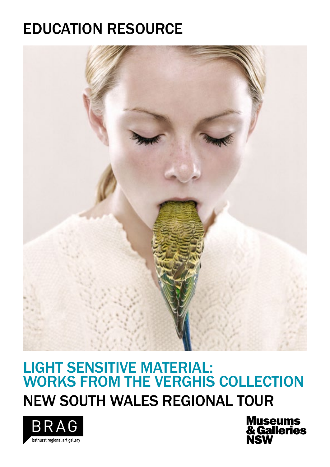## EDUCATION RESOURCE



### LIGHT SENSITIVE MATERIAL: WORKS FROM THE VERGHIS COLLECTION NEW SOUTH WALES REGIONAL TOUR



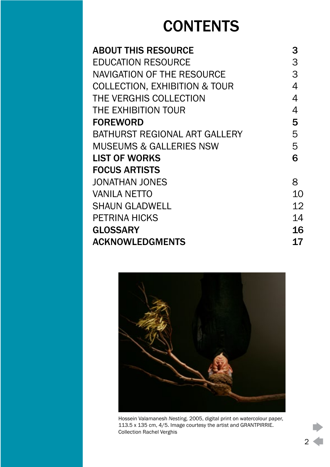## **CONTENTS**

| <b>ABOUT THIS RESOURCE</b>               | 3         |
|------------------------------------------|-----------|
| <b>EDUCATION RESOURCE</b>                | 3         |
| NAVIGATION OF THE RESOURCE               | 3         |
| <b>COLLECTION, EXHIBITION &amp; TOUR</b> | 4         |
| THE VERGHIS COLLECTION                   | 4         |
| THE EXHIBITION TOUR                      | 4         |
| <b>FOREWORD</b>                          | 5         |
| BATHURST REGIONAL ART GALLERY            | 5         |
| <b>MUSEUMS &amp; GALLERIES NSW</b>       | 5         |
| <b>LIST OF WORKS</b>                     | 6         |
| <b>FOCUS ARTISTS</b>                     |           |
| <b>JONATHAN JONES</b>                    | 8         |
| <b>VANILA NETTO</b>                      | 10        |
| <b>SHAUN GLADWELL</b>                    | 12        |
| <b>PETRINA HICKS</b>                     | 14        |
| <b>GLOSSARY</b>                          | <b>16</b> |
| <b>ACKNOWLEDGMENTS</b>                   | 17        |



Hossein Valamanesh *Nesting,* 2005, digital print on watercolour paper, 113.5 x 135 cm, 4/5. Image courtesy the artist and GRANTPIRRIE. Collection Rachel Verghis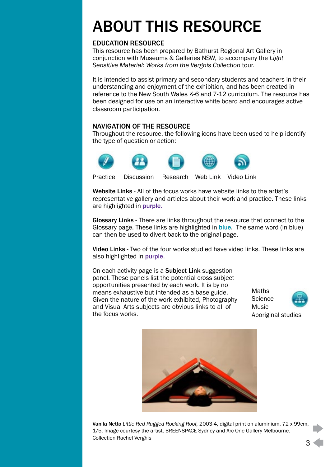# <span id="page-2-0"></span>ABOUT THIS RESOURCE

### EDUCATION RESOURCE

This resource has been prepared by Bathurst Regional Art Gallery in conjunction with Museums & Galleries NSW, to accompany the *Light Sensitive Material: Works from the Verghis Collection* tour.

It is intended to assist primary and secondary students and teachers in their understanding and enjoyment of the exhibition, and has been created in reference to the New South Wales K-6 and 7-12 curriculum. The resource has been designed for use on an interactive white board and encourages active classroom participation.

### NAVIGATION OF THE RESOURCE

Throughout the resource, the following icons have been used to help identify the type of question or action:



Website Links - All of the focus works have website links to the artist's representative gallery and articles about their work and practice. These links are highlighted in purple.

Glossary Links - There are links throughout the resource that connect to the Glossary page. These links are highlighted in **blue**. The same word (in blue) can then be used to divert back to the original page.

Video Links - Two of the four works studied have video links. These links are also highlighted in purple.

On each activity page is a Subject Link suggestion panel. These panels list the potential cross subject opportunities presented by each work. It is by no means exhaustive but intended as a base guide. Given the nature of the work exhibited, Photography and Visual Arts subjects are obvious links to all of the focus works.

Maths **Science** Music Aboriginal studies



Vanila Netto *Little Red Rugged Rocking Roof,* 2003-4, digital print on aluminium, 72 x 99cm, 1/5. Image courtesy the artist, BREENSPACE Sydney and Arc One Gallery Melbourne. Collection Rachel Verghis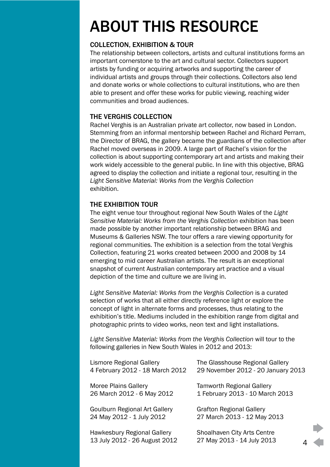# <span id="page-3-0"></span>ABOUT THIS RESOURCE

### COLLECTION, EXHIBITION & TOUR

The relationship between collectors, artists and cultural institutions forms an important cornerstone to the art and cultural sector. Collectors support artists by funding or acquiring artworks and supporting the career of individual artists and groups through their collections. Collectors also lend and donate works or whole collections to cultural institutions, who are then able to present and offer these works for public viewing, reaching wider communities and broad audiences.

### THE VERGHIS COLLECTION

Rachel Verghis is an Australian private art collector, now based in London. Stemming from an informal mentorship between Rachel and Richard Perram, the Director of BRAG, the gallery became the guardians of the collection after Rachel moved overseas in 2009. A large part of Rachel's vision for the collection is about supporting contemporary art and artists and making their work widely accessible to the general public. In line with this objective, BRAG agreed to display the collection and initiate a regional tour, resulting in the *Light Sensitive Material: Works from the Verghis Collection* exhibition.

### THE EXHIBITION TOUR

The eight venue tour throughout regional New South Wales of the *Light Sensitive Material: Works from the Verghis Collection* exhibition has been made possible by another important relationship between BRAG and Museums & Galleries NSW. The tour offers a rare viewing opportunity for regional communities. The exhibition is a selection from the total Verghis Collection, featuring 21 works created between 2000 and 2008 by 14 emerging to mid career Australian artists. The result is an exceptional snapshot of current Australian contemporary art practice and a visual depiction of the time and culture we are living in.

*Light Sensitive Material: Works from the Verghis Collection* is a curated selection of works that all either directly reference light or explore the concept of light in alternate forms and processes, thus relating to the exhibition's title. Mediums included in the exhibition range from digital and photographic prints to video works, neon text and light installations.

*Light Sensitive Material: Works from the Verghis Collection* will tour to the following galleries in New South Wales in 2012 and 2013:

| Lismore Regional Gallery                                            | The Glasshouse Regional Gallery                                |
|---------------------------------------------------------------------|----------------------------------------------------------------|
| 4 February 2012 - 18 March 2012                                     | 29 November 2012 - 20 January 2013                             |
| Moree Plains Gallery                                                | <b>Tamworth Regional Gallery</b>                               |
| 26 March 2012 - 6 May 2012                                          | 1 February 2013 - 10 March 2013                                |
| Goulburn Regional Art Gallery                                       | <b>Grafton Regional Gallery</b>                                |
| 24 May 2012 - 1 July 2012                                           | 27 March 2013 - 12 May 2013                                    |
| <b>Hawkesbury Regional Gallery</b><br>13 July 2012 - 26 August 2012 | Shoalhaven City Arts Centre<br>27 May 2013 - 14 July 2013<br>Δ |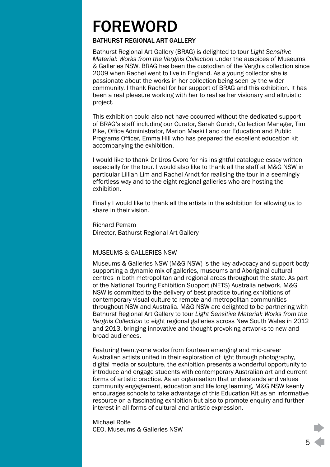## <span id="page-4-0"></span>FOREWORD

#### BATHURST REGIONAL ART GALLERY

Bathurst Regional Art Gallery (BRAG) is delighted to tour *Light Sensitive Material: Works from the Verghis Collection* under the auspices of Museums & Galleries NSW. BRAG has been the custodian of the Verghis collection since 2009 when Rachel went to live in England. As a young collector she is passionate about the works in her collection being seen by the wider community. I thank Rachel for her support of BRAG and this exhibition. It has been a real pleasure working with her to realise her visionary and altruistic project.

This exhibition could also not have occurred without the dedicated support of BRAG's staff including our Curator, Sarah Gurich, Collection Manager, Tim Pike, Office Administrator, Marion Maskill and our Education and Public Programs Officer, Emma Hill who has prepared the excellent education kit accompanying the exhibition.

I would like to thank Dr Uros Cvoro for his insightful catalogue essay written especially for the tour. I would also like to thank all the staff at M&G NSW in particular Lillian Lim and Rachel Arndt for realising the tour in a seemingly effortless way and to the eight regional galleries who are hosting the exhibition.

Finally I would like to thank all the artists in the exhibition for allowing us to share in their vision.

Richard Perram Director, Bathurst Regional Art Gallery

#### MUSEUMS & GALLERIES NSW

Museums & Galleries NSW (M&G NSW) is the key advocacy and support body supporting a dynamic mix of galleries, museums and Aboriginal cultural centres in both metropolitan and regional areas throughout the state. As part of the National Touring Exhibition Support (NETS) Australia network, M&G NSW is committed to the delivery of best practice touring exhibitions of contemporary visual culture to remote and metropolitan communities throughout NSW and Australia. M&G NSW are delighted to be partnering with Bathurst Regional Art Gallery to tour *Light Sensitive Material: Works from the Verghis Collection* to eight regional galleries across New South Wales in 2012 and 2013, bringing innovative and thought-provoking artworks to new and broad audiences.

Featuring twenty-one works from fourteen emerging and mid-career Australian artists united in their exploration of light through photography, digital media or sculpture, the exhibition presents a wonderful opportunity to introduce and engage students with contemporary Australian art and current forms of artistic practice. As an organisation that understands and values community engagement, education and life long learning, M&G NSW keenly encourages schools to take advantage of this Education Kit as an informative resource on a fascinating exhibition but also to promote enquiry and further interest in all forms of cultural and artistic expression.

Michael Rolfe CEO, Museums & Galleries NSW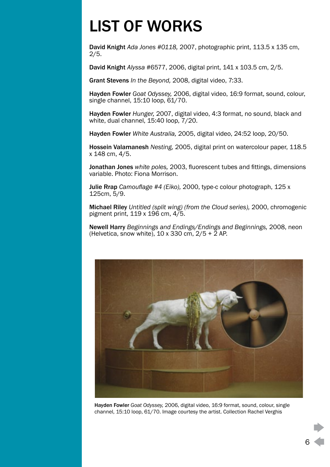# <span id="page-5-0"></span>LIST OF WORKS

David Knight *Ada Jones #0118,* 2007, photographic print, 113.5 x 135 cm, 2/5.

David Knight *Alyssa* #6577, 2006, digital print, 141 x 103.5 cm, 2/5.

Grant Stevens *In the Beyond,* 2008, digital video, 7:33.

Hayden Fowler *Goat Odyssey,* 2006, digital video, 16:9 format, sound, colour, single channel, 15:10 loop, 61/70.

Hayden Fowler *Hunger,* 2007, digital video, 4:3 format, no sound, black and white, dual channel, 15:40 loop, 7/20.

Hayden Fowler *White Australia,* 2005, digital video, 24:52 loop, 20/50.

Hossein Valamanesh *Nesting,* 2005, digital print on watercolour paper, 118.5 x 148 cm, 4/5.

Jonathan Jones *white poles,* 2003, fluorescent tubes and fittings, dimensions variable. Photo: Fiona Morrison.

Julie Rrap *Camouflage #4 (Eiko),* 2000, type-c colour photograph, 125 x 125cm, 5/9.

Michael Riley *Untitled (split wing) (from the Cloud series),* 2000, chromogenic pigment print, 119 x 196 cm, 4/5.

Newell Harry *Beginnings and Endings/Endings and Beginnings,* 2008, neon (Helvetica, snow white),  $10 \times 330$  cm,  $2/5 + 2$  AP.



Hayden Fowler *Goat Odyssey,* 2006, digital video, 16:9 format, sound, colour, single channel, 15:10 loop, 61/70. Image courtesy the artist. Collection Rachel Verghis

6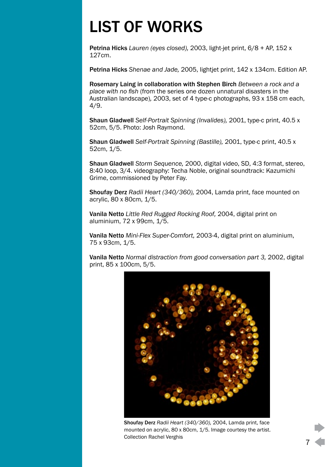# LIST OF WORKS

Petrina Hicks *Lauren (eyes closed),* 2003, light-jet print, 6/8 + AP, 152 x 127cm.

Petrina Hicks *Shenae and Jade,* 2005, lightjet print, 142 x 134cm. Edition AP.

Rosemary Laing in collaboration with Stephen Birch *Between a rock and a place with no fish* (from the series one dozen unnatural disasters in the Australian landscape)*,* 2003, set of 4 type-c photographs, 93 x 158 cm each, 4/9.

Shaun Gladwell *Self-Portrait Spinning (Invalides),* 2001, type-c print, 40.5 x 52cm, 5/5. Photo: Josh Raymond.

Shaun Gladwell *Self-Portrait Spinning (Bastille),* 2001, type-c print, 40.5 x 52cm, 1/5.

Shaun Gladwell *Storm Sequence,* 2000, digital video, SD, 4:3 format, stereo, 8:40 loop, 3/4. videography: Techa Noble, original soundtrack: Kazumichi Grime, commissioned by Peter Fay.

Shoufay Derz *Radii Heart (340/360),* 2004, Lamda print, face mounted on acrylic, 80 x 80cm, 1/5.

Vanila Netto *Little Red Rugged Rocking Roof,* 2004, digital print on aluminium, 72 x 99cm, 1/5.

Vanila Netto *Mini-Flex Super-Comfort,* 2003-4, digital print on aluminium, 75 x 93cm, 1/5.

Vanila Netto *Normal distraction from good conversation part 3,* 2002, digital print, 85 x 100cm, 5/5.



Shoufay Derz *Radii Heart (340/360),* 2004, Lamda print, face mounted on acrylic, 80 x 80cm, 1/5. Image courtesy the artist. Collection Rachel Verghis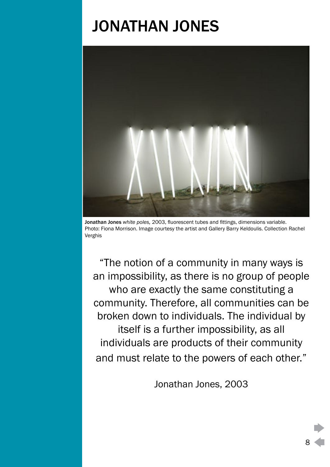### JONATHAN JONES

<span id="page-7-0"></span>

Jonathan Jones *white poles,* 2003, fluorescent tubes and fittings, dimensions variable. Photo: Fiona Morrison. Image courtesy the artist and Gallery Barry Keldoulis. Collection Rachel Verghis

"The notion of a community in many ways is an impossibility, as there is no group of people who are exactly the same constituting a community. Therefore, all communities can be broken down to individuals. The individual by itself is a further impossibility, as all individuals are products of their community and must relate to the powers of each other."

Jonathan Jones, 2003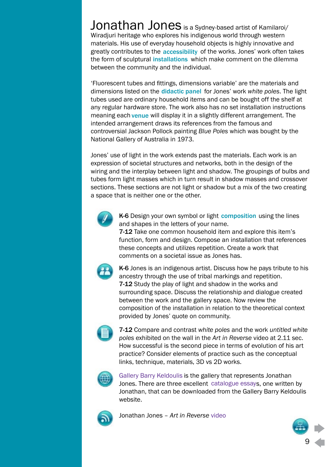Jonathan Jones is a Sydney-based artist of Kamilaroi/ Wiradjuri heritage who explores his indigenous world through western materials. His use of everyday household objects is highly innovative and greatly contributes to the accessibility of the works. Jones' work often takes the form of sculptural installations which make comment on the dilemma between the community and the individual.

'Fluorescent tubes and fittings, dimensions variable' are the materials and dimensions listed on the didactic panel for Jones' work white poles. The light tubes used are ordinary household items and can be bought off the shelf at any regular hardware store. The work also has no set installation instructions meaning each venue will display it in a slightly different arrangement. The intended arrangement draws its references from the famous and controversial Jackson Pollock painting *Blue Poles* which was bought by the National Gallery of Australia in 1973.

Jones' use of light in the work extends past the materials. Each work is an expression of societal structures and networks, both in the design of the wiring and the interplay between light and shadow. The groupings of bulbs and tubes form light masses which in turn result in shadow masses and crossover sections. These sections are not light or shadow but a mix of the two creating a space that is neither one or the other.



K-6 Design your own symbol or light composition using the lines and shapes in the letters of your name.

7-12 Take one common household item and explore this item's function, form and design. Compose an installation that references these concepts and utilizes repetition. Create a work that comments on a societal issue as Jones has.



K-6 Jones is an indigenous artist. Discuss how he pays tribute to his ancestry through the use of tribal markings and repetition. 7-12 Study the play of light and shadow in the works and surrounding space. Discuss the relationship and dialogue created between the work and the gallery space. Now review the composition of the installation in relation to the theoretical context provided by Jones' quote on community.



7-12 Compare and contrast *white poles* and the work *untitled white poles* exhibited on the wall in the *Art in Reverse* video at 2.11 sec. How successful is the second piece in terms of evolution of his art practice? Consider elements of practice such as the conceptual links, technique, materials, 3D vs 2D works.



Gallery Barry Keldoulis is the gallery that represents Jonathan Jones. There are three excellent catalogue essays, one written by Jonathan, that can be downloaded from the Gallery Barry Keldoulis website.



Jonathan Jones – *Art in Reverse* video

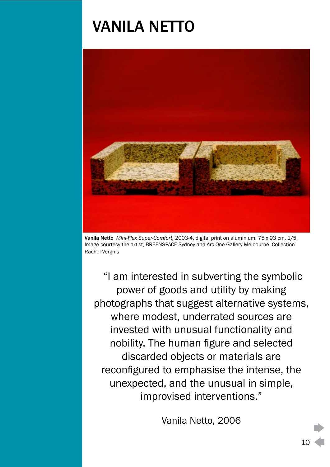### <span id="page-9-0"></span>VANILA NETTO



Vanila Netto *Mini-Flex Super-Comfort,* 2003-4, digital print on aluminium, 75 x 93 cm, 1/5. Image courtesy the artist, BREENSPACE Sydney and Arc One Gallery Melbourne. Collection Rachel Verghis

"I am interested in subverting the symbolic power of goods and utility by making photographs that suggest alternative systems, where modest, underrated sources are invested with unusual functionality and nobility. The human figure and selected discarded objects or materials are reconfigured to emphasise the intense, the unexpected, and the unusual in simple, improvised interventions."

Vanila Netto, 2006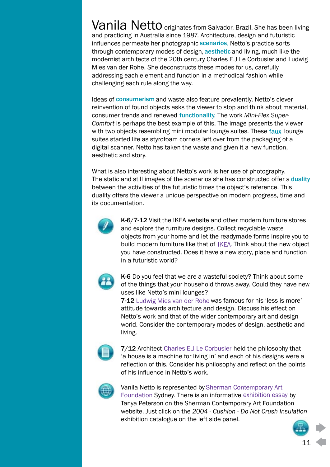Vanila Netto originates from Salvador, Brazil. She has been living and practicing in Australia since 1987. Architecture, design and futuristic influences permeate her photographic **scenarios**. Netto's practice sorts through contemporary modes of design, aesthetic and living, much like the modernist architects of the 20th century Charles E.J Le Corbusier and Ludwig Mies van der Rohe. She deconstructs these modes for us, carefully addressing each element and function in a methodical fashion while challenging each rule along the way.

Ideas of consumerism and waste also feature prevalently. Netto's clever reinvention of found objects asks the viewer to stop and think about material, consumer trends and renewed functionality. The work Mini-Flex Super-*Comfort* is perhaps the best example of this. The image presents the viewer with two objects resembling mini modular lounge suites. These faux lounge suites started life as styrofoam corners left over from the packaging of a digital scanner. Netto has taken the waste and given it a new function, aesthetic and story. with two objects resembling mini modular lounge suites. These faux lounge<br>suites started life as styrofoam corners left over from the packaging of a<br>digital scanner. Netto has taken the waste and given it a new function,<br>a

What is also interesting about Netto's work is her use of photography. between the activities of the futuristic times the object's reference. This duality offers the viewer a unique perspective on modern progress, time and its documentation.



K-6/7-12 Visit the IKEA website and other modern furniture stores and explore the furniture designs. Collect recyclable waste objects from your home and let the readymade forms inspire you to build modern furniture like that of IKEA. Think about the new object you have constructed. Does it have a new story, place and function in a futuristic world?



K-6 Do you feel that we are a wasteful society? Think about some of the things that your household throws away. Could they have new uses like Netto's mini lounges?

7-12 Ludwig Mies van der Rohe was famous for his 'less is more' attitude towards architecture and design. Discuss his effect on Netto's work and that of the wider contemporary art and design world. Consider the contemporary modes of design, aesthetic and living.



7/12 Architect Charles E.J Le Corbusier held the philosophy that 'a house is a machine for living in' and each of his designs were a reflection of this. Consider his philosophy and reflect on the points of his influence in Netto's work.



### Vanila Netto is represented by Sherman Contemporary Art

Foundation Sydney. There is an informative exhibition essay by Tanya Peterson on the Sherman Contemporary Art Foundation website. Just click on the *2004 - Cushion - Do Not Crush Insulation* exhibition catalogue on the left side panel.



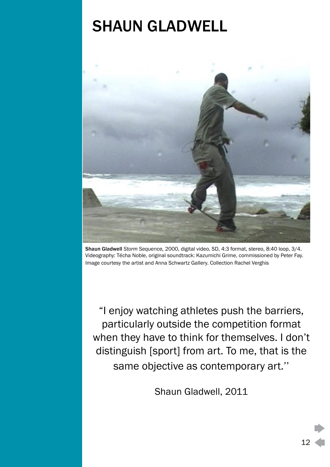## <span id="page-11-0"></span>SHAUN GLADWELL



Shaun Gladwell *Storm Sequence,* 2000, digital video, SD, 4:3 format, stereo, 8:40 loop, 3/4. Videography: Técha Noble, original soundtrack: Kazumichi Grime, commissioned by Peter Fay. Image courtesy the artist and Anna Schwartz Gallery. Collection Rachel Verghis

"I enjoy watching athletes push the barriers, particularly outside the competition format when they have to think for themselves. I don't distinguish [sport] from art. To me, that is the same objective as contemporary art.''

Shaun Gladwell, 2011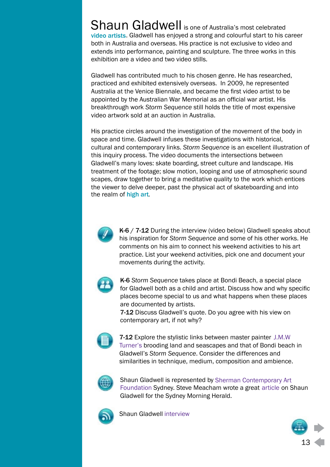Shaun Gladwell is one of Australia's most celebrated video artists. Gladwell has enjoyed a strong and colourful start to his career both in Australia and overseas. His practice is not exclusive to video and extends into performance, painting and sculpture. The three works in this exhibition are a video and two video stills.

Gladwell has contributed much to his chosen genre. He has researched, practiced and exhibited extensively overseas. In 2009, he represented Australia at the Venice Biennale, and became the first video artist to be appointed by the Australian War Memorial as an official war artist. His breakthrough work *Storm Sequence* still holds the title of most expensive video artwork sold at an auction in Australia.

His practice circles around the investigation of the movement of the body in space and time. Gladwell infuses these investigations with historical, cultural and contemporary links. *Storm Sequence* is an excellent illustration of this inquiry process. The video documents the intersections between Gladwell's many loves: skate boarding, street culture and landscape. His treatment of the footage; slow motion, looping and use of atmospheric sound scapes, draw together to bring a meditative quality to the work which entices the viewer to delve deeper, past the physical act of skateboarding and into the realm of high art. video artists. Gladwe<br>both in Australia and<br>extends into perform<br>exhibition are a video<br>Gladwell has contrib<br>practiced and exhibit<br>Australia at the Venic<br>appointed by the Aus<br>breakthrough work S<br>video artwork sold at<br>His p



K-6 / 7-12 During the interview (video below) Gladwell speaks about his inspiration for *Storm Sequence* and some of his other works. He comments on his aim to connect his weekend activities to his art practice. List your weekend activities, pick one and document your movements during the activity.



K-6 *Storm Sequence* takes place at Bondi Beach, a special place for Gladwell both as a child and artist. Discuss how and why specific places become special to us and what happens when these places are documented by artists.

7-12 Discuss Gladwell's quote. Do you agree with his view on contemporary art, if not why?



7-12 Explore the stylistic links between master painter J.M.W Turner's brooding land and seascapes and that of Bondi beach in Gladwell's *Storm Sequence*. Consider the differences and similarities in technique, medium, composition and ambience.



Shaun Gladwell is represented by Sherman Contemporary Art Foundation Sydney. Steve Meacham wrote a great article on Shaun Gladwell for the Sydney Morning Herald.



Shaun Gladwell interview

13 Digital media **Science** HPE Sherman Contemporary Art<br>Im wrote a great article on Sherald.<br>Digital media<br>Science<br>HPE<br>Personal Development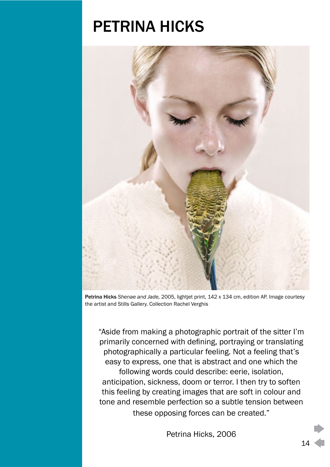### PETRINA HICKS

<span id="page-13-0"></span>

Petrina Hicks *Shenae and Jade,* 2005, lightjet print, 142 x 134 cm, edition AP. Image courtesy the artist and Stills Gallery. Collection Rachel Verghis

"Aside from making a photographic portrait of the sitter I'm primarily concerned with defining, portraying or translating photographically a particular feeling. Not a feeling that's easy to express, one that is abstract and one which the following words could describe: eerie, isolation, anticipation, sickness, doom or terror. I then try to soften this feeling by creating images that are soft in colour and tone and resemble perfection so a subtle tension between these opposing forces can be created."

Petrina Hicks, 2006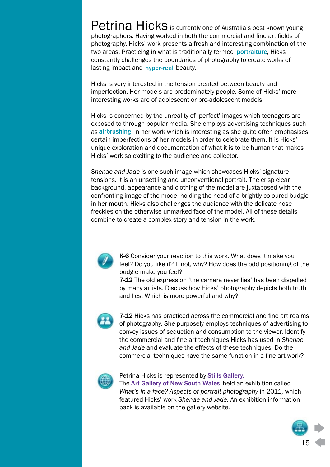Petrina Hicks is currently one of Australia's best known young photographers. Having worked in both the commercial and fine art fields of photography, Hicks' work presents a fresh and interesting combination of the two areas. Practicing in what is traditionally termed portraiture, Hicks constantly challenges the boundaries of photography to create works of lasting impact and hyper-real beauty.

Hicks is very interested in the tension created between beauty and imperfection. Her models are predominately people. Some of Hicks' more interesting works are of adolescent or pre-adolescent models.

Hicks is concerned by the unreality of 'perfect' images which teenagers are exposed to through popular media. She employs advertising techniques such as airbrushing in her work which is interesting as she quite often emphasises certain imperfections of her models in order to celebrate them. It is Hicks' unique exploration and documentation of what it is to be human that makes Hicks' work so exciting to the audience and collector.

*Shenae and Jade* is one such image which showcases Hicks' signature tensions. It is an unsettling and unconventional portrait. The crisp clear background, appearance and clothing of the model are juxtaposed with the confronting image of the model holding the head of a brightly coloured budgie in her mouth. Hicks also challenges the audience with the delicate nose freckles on the otherwise unmarked face of the model. All of these details combine to create a complex story and tension in the work.



K-6 Consider your reaction to this work. What does it make you feel? Do you like it? If not, why? How does the odd positioning of the budgie make you feel?

7-12 The old expression 'the camera never lies' has been dispelled by many artists. Discuss how Hicks' photography depicts both truth and lies. Which is more powerful and why?



7-12 Hicks has practiced across the commercial and fine art realms of photography. She purposely employs techniques of advertising to convey issues of seduction and consumption to the viewer. Identify the commercial and fine art techniques Hicks has used in *Shenae and Jade* and evaluate the effects of these techniques. Do the commercial techniques have the same function in a fine art work?



#### Petrina Hicks is represented by Stills Gallery.

The Art Gallery of New South Wales held an exhibition called *What's in a face? Aspects of portrait photography* in 2011*,* which featured Hicks' work *Shenae and Jade.* An exhibition information pack is available on the gallery website.

> Digital media English **Science**

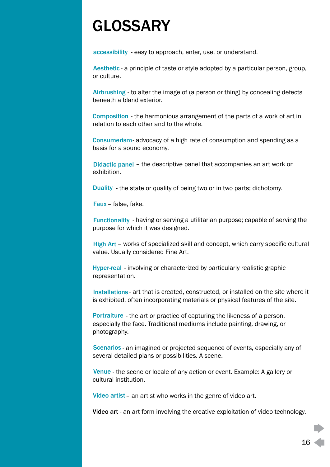## <span id="page-15-0"></span>GLOSSARY

accessibility - easy to approach, enter, use, or understand.

Aesthetic - a principle of taste or style adopted by a particular person, group, or culture.

Airbrushing - to alter the image of (a person or thing) by concealing defects beneath a bland exterior.

**Composition** - the harmonious arrangement of the parts of a work of art in relation to each other and to the whole.

**Consumerism** advocacy of a high rate of consumption and spending as a basis for a sound economy.

Didactic panel - the descriptive panel that accompanies an art work on exhibition.

**Duality** - the state or quality of being two or in two parts; dichotomy.

Faux - false, fake.

**Functionality** - having or serving a utilitarian purpose; capable of serving the purpose for which it was designed.

 – works of specialized skill and concept, which carry specific cultural value. Usually considered Fine Art.

Hyper-real - involving or characterized by particularly realistic graphic representation.

Installations - art that is created, constructed, or installed on the site where it is exhibited, often incorporating materials or physical features of the site.

Portraiture - the art or practice of capturing the likeness of a person, especially the face. Traditional mediums include painting, drawing, or photography. Aesthetic - a p<br>or culture.<br>Airbrushing - 1<br>beneath a blancomposition<br>relation to eac<br>Consumerism<br>basis for a sou<br>Didactic pane<br>exhibition.<br>Duality - the s<br>Faux - false, f<br>Functionality purpose for where<br>High Art - wor<br>val accessibility<br>
Aesthetic - a<br>
or culture.<br>
Airbrushing<br>
beneath a bl<br>
Composition<br>
relation to ea<br>
Consumeris<br>
basis for a se<br>
Didactic par<br>
exhibition.<br>
Duality - the<br>
Faux – false,<br>
Functionality<br>
purpose for \<br>
High Art

**Scenarios** - an imagined or projected sequence of events, especially any of several detailed plans or possibilities. A scene.

Venue - the scene or locale of any action or event. Example: A gallery or cultural institution.

Video artist - an artist who works in the genre of video art.

Video art - an art form involving the creative exploitation of video technology.